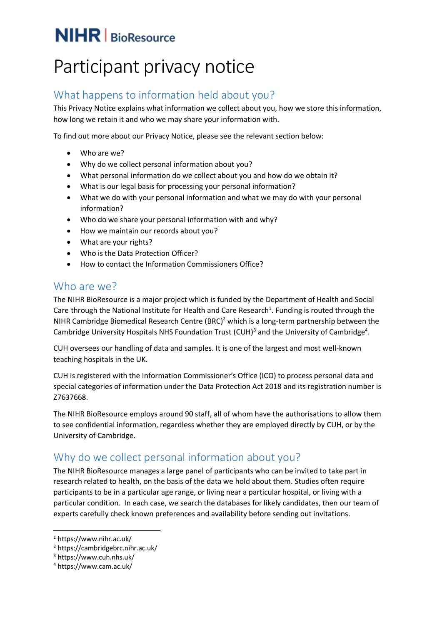# $NIHR$   $BioResource$

# Participant privacy notice

# What happens to information held about you?

This Privacy Notice explains what information we collect about you, how we store this information, how long we retain it and who we may share your information with.

To find out more about our Privacy Notice, please see the relevant section below:

- Who are we?
- Why do we collect personal information about you?
- What personal information do we collect about you and how do we obtain it?
- What is our legal basis for processing your personal information?
- What we do with your personal information and what we may do with your personal information?
- Who do we share your personal information with and why?
- How we maintain our records about you?
- What are your rights?
- Who is the Data Protection Officer?
- How to contact the Information Commissioners Office?

### Who are we?

The NIHR BioResource is a major project which is funded by the Department of Health and Social Care through the National Institute for Health and Care Research<sup>1</sup>. Funding is routed through the NIHR Cambridge Biomedical Research Centre  $(BRC)^2$  which is a long-term partnership between the Cambridge University Hospitals NHS Foundation Trust (CUH)<sup>3</sup> and the University of Cambridge<sup>4</sup>.

CUH oversees our handling of data and samples. It is one of the largest and most well-known teaching hospitals in the UK.

CUH is registered with the Information Commissioner's Office (ICO) to process personal data and special categories of information under the Data Protection Act 2018 and its registration number is Z7637668.

The NIHR BioResource employs around 90 staff, all of whom have the authorisations to allow them to see confidential information, regardless whether they are employed directly by CUH, or by the University of Cambridge.

## Why do we collect personal information about you?

The NIHR BioResource manages a large panel of participants who can be invited to take part in research related to health, on the basis of the data we hold about them. Studies often require participants to be in a particular age range, or living near a particular hospital, or living with a particular condition. In each case, we search the databases for likely candidates, then our team of experts carefully check known preferences and availability before sending out invitations.

-

<sup>1</sup> https://www.nihr.ac.uk/

<sup>2</sup> <https://cambridgebrc.nihr.ac.uk/>

<sup>3</sup> https://www.cuh.nhs.uk/

<sup>4</sup> https://www.cam.ac.uk/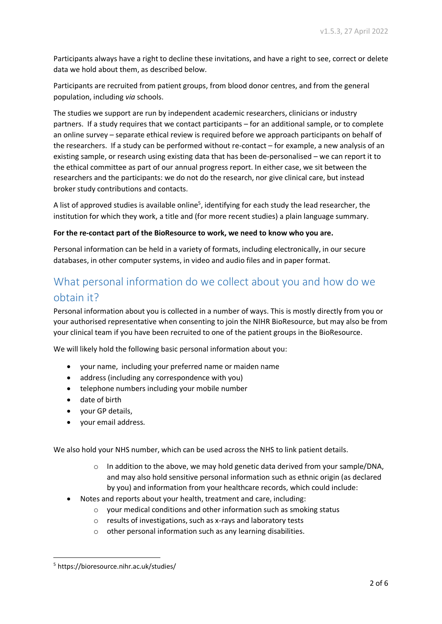Participants always have a right to decline these invitations, and have a right to see, correct or delete data we hold about them, as described below.

Participants are recruited from patient groups, from blood donor centres, and from the general population, including *via* schools.

The studies we support are run by independent academic researchers, clinicians or industry partners. If a study requires that we contact participants – for an additional sample, or to complete an online survey – separate ethical review is required before we approach participants on behalf of the researchers. If a study can be performed without re-contact – for example, a new analysis of an existing sample, or research using existing data that has been de-personalised – we can report it to the ethical committee as part of our annual progress report. In either case, we sit between the researchers and the participants: we do not do the research, nor give clinical care, but instead broker study contributions and contacts.

A list of approved studies is available online<sup>5</sup>, identifying for each study the lead researcher, the institution for which they work, a title and (for more recent studies) a plain language summary.

#### **For the re-contact part of the BioResource to work, we need to know who you are.**

Personal information can be held in a variety of formats, including electronically, in our secure databases, in other computer systems, in video and audio files and in paper format.

# What personal information do we collect about you and how do we obtain it?

Personal information about you is collected in a number of ways. This is mostly directly from you or your authorised representative when consenting to join the NIHR BioResource, but may also be from your clinical team if you have been recruited to one of the patient groups in the BioResource.

We will likely hold the following basic personal information about you:

- your name, including your preferred name or maiden name
- address (including any correspondence with you)
- telephone numbers including your mobile number
- date of birth
- vour GP details.
- your email address.

We also hold your NHS number, which can be used across the NHS to link patient details.

- $\circ$  In addition to the above, we may hold genetic data derived from your sample/DNA, and may also hold sensitive personal information such as ethnic origin (as declared by you) and information from your healthcare records, which could include:
- Notes and reports about your health, treatment and care, including:
	- o your medical conditions and other information such as smoking status
	- o results of investigations, such as x-rays and laboratory tests
	- o other personal information such as any learning disabilities.

-

<sup>5</sup> https://bioresource.nihr.ac.uk/studies/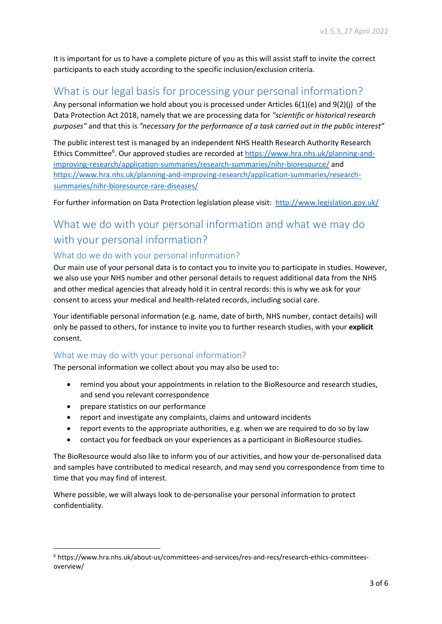It is important for us to have a complete picture of you as this will assist staff to invite the correct participants to each study according to the specific inclusion/exclusion criteria.

## What is our legal basis for processing your personal information?

Any personal information we hold about you is processed under Articles 6(1)(e) and 9(2)(j) of the Data Protection Act 2018, namely that we are processing data for *"scientific or historical research purposes"* and that this is *"necessary for the performance of a task carried out in the public interest"*

The public interest test is managed by an independent NHS Health Research Authority Research Ethics Committee<sup>6</sup>. Our approved studies are recorded at [https://www.hra.nhs.uk/planning-and](https://www.hra.nhs.uk/planning-and-improving-research/application-summaries/research-summaries/nihr-bioresource/)[improving-research/application-summaries/research-summaries/nihr-bioresource/](https://www.hra.nhs.uk/planning-and-improving-research/application-summaries/research-summaries/nihr-bioresource/) and [https://www.hra.nhs.uk/planning-and-improving-research/application-summaries/research](https://www.hra.nhs.uk/planning-and-improving-research/application-summaries/research-summaries/nihr-bioresource-rare-diseases/)[summaries/nihr-bioresource-rare-diseases/](https://www.hra.nhs.uk/planning-and-improving-research/application-summaries/research-summaries/nihr-bioresource-rare-diseases/)

For further information on Data Protection legislation please visit: <http://www.legislation.gov.uk/>

# What we do with your personal information and what we may do with your personal information?

#### What do we do with your personal information?

Our main use of your personal data is to contact you to invite you to participate in studies. However, we also use your NHS number and other personal details to request additional data from the NHS and other medical agencies that already hold it in central records: this is why we ask for your consent to access your medical and health-related records, including social care.

Your identifiable personal information (e.g. name, date of birth, NHS number, contact details) will only be passed to others, for instance to invite you to further research studies, with your **explicit** consent.

#### What we may do with your personal information?

The personal information we collect about you may also be used to:

- remind you about your appointments in relation to the BioResource and research studies, and send you relevant correspondence
- prepare statistics on our performance

**.** 

- report and investigate any complaints, claims and untoward incidents
- report events to the appropriate authorities, e.g. when we are required to do so by law
- contact you for feedback on your experiences as a participant in BioResource studies.

The BioResource would also like to inform you of our activities, and how your de-personalised data and samples have contributed to medical research, and may send you correspondence from time to time that you may find of interest.

Where possible, we will always look to de-personalise your personal information to protect confidentiality.

<sup>6</sup> https://www.hra.nhs.uk/about-us/committees-and-services/res-and-recs/research-ethics-committeesoverview/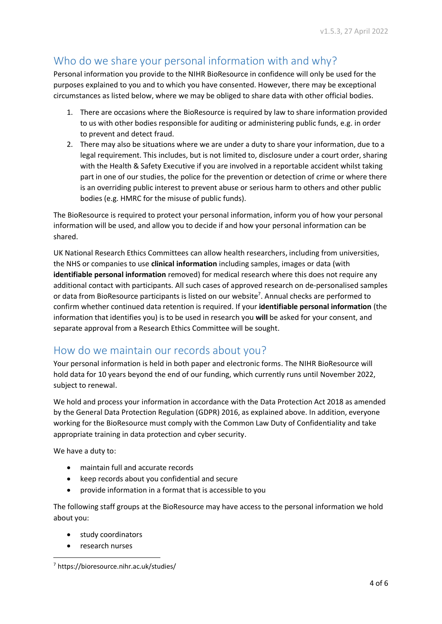# Who do we share your personal information with and why?

Personal information you provide to the NIHR BioResource in confidence will only be used for the purposes explained to you and to which you have consented. However, there may be exceptional circumstances as listed below, where we may be obliged to share data with other official bodies.

- 1. There are occasions where the BioResource is required by law to share information provided to us with other bodies responsible for auditing or administering public funds, e.g. in order to prevent and detect fraud.
- 2. There may also be situations where we are under a duty to share your information, due to a legal requirement. This includes, but is not limited to, disclosure under a court order, sharing with the Health & Safety Executive if you are involved in a reportable accident whilst taking part in one of our studies, the police for the prevention or detection of crime or where there is an overriding public interest to prevent abuse or serious harm to others and other public bodies (e.g. HMRC for the misuse of public funds).

The BioResource is required to protect your personal information, inform you of how your personal information will be used, and allow you to decide if and how your personal information can be shared.

UK National Research Ethics Committees can allow health researchers, including from universities, the NHS or companies to use **clinical information** including samples, images or data (with **identifiable personal information** removed) for medical research where this does not require any additional contact with participants. All such cases of approved research on de-personalised samples or data from BioResource participants is listed on our website<sup>7</sup>. Annual checks are performed to confirm whether continued data retention is required. If your **identifiable personal information** (the information that identifies you) is to be used in research you **will** be asked for your consent, and separate approval from a Research Ethics Committee will be sought.

## How do we maintain our records about you?

Your personal information is held in both paper and electronic forms. The NIHR BioResource will hold data for 10 years beyond the end of our funding, which currently runs until November 2022, subject to renewal.

We hold and process your information in accordance with the Data Protection Act 2018 as amended by the General Data Protection Regulation (GDPR) 2016, as explained above. In addition, everyone working for the BioResource must comply with the Common Law Duty of Confidentiality and take appropriate training in data protection and cyber security.

We have a duty to:

- maintain full and accurate records
- keep records about you confidential and secure
- provide information in a format that is accessible to you

The following staff groups at the BioResource may have access to the personal information we hold about you:

- study coordinators
- research nurses

<sup>-</sup><sup>7</sup> https://bioresource.nihr.ac.uk/studies/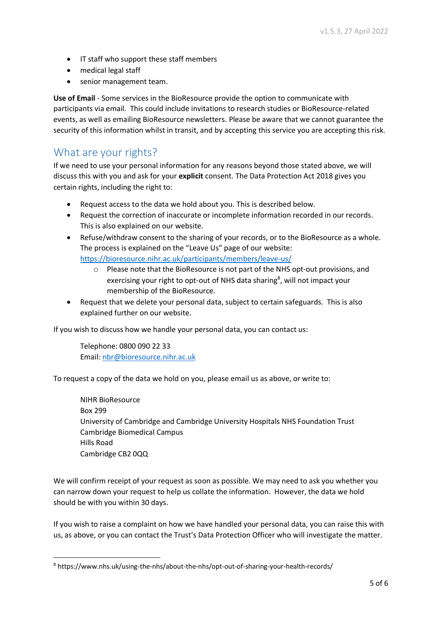- IT staff who support these staff members
- medical legal staff
- senior management team.

**Use of Email** - Some services in the BioResource provide the option to communicate with participants via email. This could include invitations to research studies or BioResource-related events, as well as emailing BioResource newsletters. Please be aware that we cannot guarantee the security of this information whilst in transit, and by accepting this service you are accepting this risk.

#### What are your rights?

If we need to use your personal information for any reasons beyond those stated above, we will discuss this with you and ask for your **explicit** consent. The Data Protection Act 2018 gives you certain rights, including the right to:

- Request access to the data we hold about you. This is described below.
- Request the correction of inaccurate or incomplete information recorded in our records. This is also explained on our website.
- Refuse/withdraw consent to the sharing of your records, or to the BioResource as a whole. The process is explained on the "Leave Us" page of our website: <https://bioresource.nihr.ac.uk/participants/members/leave-us/>
	- o Please note that the BioResource is not part of the NHS opt-out provisions, and exercising your right to opt-out of NHS data sharing<sup>8</sup>, will not impact your membership of the BioResource.
- Request that we delete your personal data, subject to certain safeguards. This is also explained further on our website.

If you wish to discuss how we handle your personal data, you can contact us:

Telephone: 0800 090 22 33 Email: [nbr@bioresource.nihr.ac.uk](mailto:nbr@bioresource.nihr.ac.uk)

-

To request a copy of the data we hold on you, please email us as above, or write to:

NIHR BioResource Box 299 University of Cambridge and Cambridge University Hospitals NHS Foundation Trust Cambridge Biomedical Campus Hills Road Cambridge CB2 0QQ

We will confirm receipt of your request as soon as possible. We may need to ask you whether you can narrow down your request to help us collate the information. However, the data we hold should be with you within 30 days.

If you wish to raise a complaint on how we have handled your personal data, you can raise this with us, as above, or you can contact the Trust's Data Protection Officer who will investigate the matter.

<sup>8</sup> https://www.nhs.uk/using-the-nhs/about-the-nhs/opt-out-of-sharing-your-health-records/